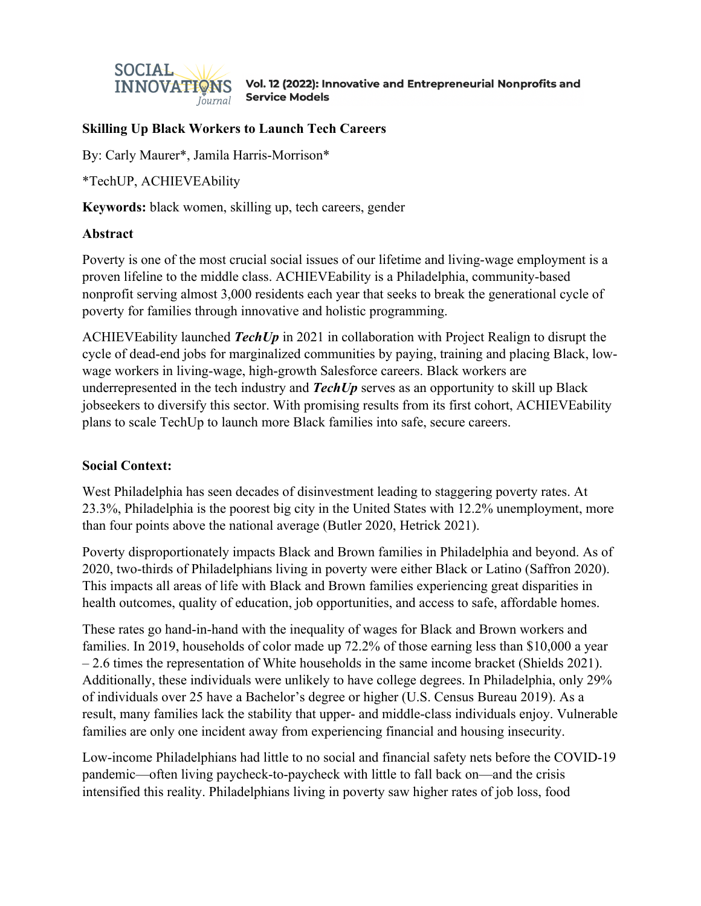

# **Skilling Up Black Workers to Launch Tech Careers**

By: Carly Maurer\*, Jamila Harris-Morrison\*

\*TechUP, ACHIEVEAbility

**Keywords:** black women, skilling up, tech careers, gender

### **Abstract**

Poverty is one of the most crucial social issues of our lifetime and living-wage employment is a proven lifeline to the middle class. ACHIEVEability is a Philadelphia, community-based nonprofit serving almost 3,000 residents each year that seeks to break the generational cycle of poverty for families through innovative and holistic programming.

ACHIEVEability launched *TechUp* in 2021 in collaboration with Project Realign to disrupt the cycle of dead-end jobs for marginalized communities by paying, training and placing Black, lowwage workers in living-wage, high-growth Salesforce careers. Black workers are underrepresented in the tech industry and *TechUp* serves as an opportunity to skill up Black jobseekers to diversify this sector. With promising results from its first cohort, ACHIEVEability plans to scale TechUp to launch more Black families into safe, secure careers.

## **Social Context:**

West Philadelphia has seen decades of disinvestment leading to staggering poverty rates. At 23.3%, Philadelphia is the poorest big city in the United States with 12.2% unemployment, more than four points above the national average (Butler 2020, Hetrick 2021).

Poverty disproportionately impacts Black and Brown families in Philadelphia and beyond. As of 2020, two-thirds of Philadelphians living in poverty were either Black or Latino (Saffron 2020). This impacts all areas of life with Black and Brown families experiencing great disparities in health outcomes, quality of education, job opportunities, and access to safe, affordable homes.

These rates go hand-in-hand with the inequality of wages for Black and Brown workers and families. In 2019, households of color made up 72.2% of those earning less than \$10,000 a year – 2.6 times the representation of White households in the same income bracket (Shields 2021). Additionally, these individuals were unlikely to have college degrees. In Philadelphia, only 29% of individuals over 25 have a Bachelor's degree or higher (U.S. Census Bureau 2019). As a result, many families lack the stability that upper- and middle-class individuals enjoy. Vulnerable families are only one incident away from experiencing financial and housing insecurity.

Low-income Philadelphians had little to no social and financial safety nets before the COVID-19 pandemic—often living paycheck-to-paycheck with little to fall back on—and the crisis intensified this reality. Philadelphians living in poverty saw higher rates of job loss, food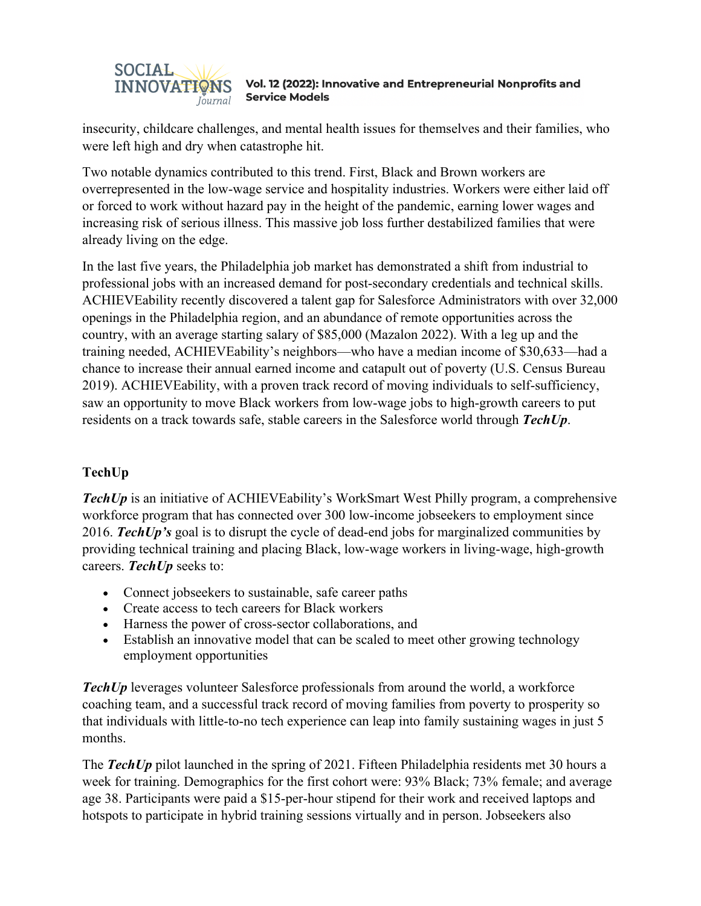

insecurity, childcare challenges, and mental health issues for themselves and their families, who were left high and dry when catastrophe hit.

Two notable dynamics contributed to this trend. First, Black and Brown workers are overrepresented in the low-wage service and hospitality industries. Workers were either laid off or forced to work without hazard pay in the height of the pandemic, earning lower wages and increasing risk of serious illness. This massive job loss further destabilized families that were already living on the edge.

In the last five years, the Philadelphia job market has demonstrated a shift from industrial to professional jobs with an increased demand for post-secondary credentials and technical skills. ACHIEVEability recently discovered a talent gap for Salesforce Administrators with over 32,000 openings in the Philadelphia region, and an abundance of remote opportunities across the country, with an average starting salary of \$85,000 (Mazalon 2022). With a leg up and the training needed, ACHIEVEability's neighbors—who have a median income of \$30,633—had a chance to increase their annual earned income and catapult out of poverty (U.S. Census Bureau 2019). ACHIEVEability, with a proven track record of moving individuals to self-sufficiency, saw an opportunity to move Black workers from low-wage jobs to high-growth careers to put residents on a track towards safe, stable careers in the Salesforce world through *TechUp*.

# **TechUp**

*TechUp* is an initiative of ACHIEVEability's WorkSmart West Philly program, a comprehensive workforce program that has connected over 300 low-income jobseekers to employment since 2016. *TechUp's* goal is to disrupt the cycle of dead-end jobs for marginalized communities by providing technical training and placing Black, low-wage workers in living-wage, high-growth careers. *TechUp* seeks to:

- Connect jobseekers to sustainable, safe career paths
- Create access to tech careers for Black workers
- Harness the power of cross-sector collaborations, and
- Establish an innovative model that can be scaled to meet other growing technology employment opportunities

*TechUp* leverages volunteer Salesforce professionals from around the world, a workforce coaching team, and a successful track record of moving families from poverty to prosperity so that individuals with little-to-no tech experience can leap into family sustaining wages in just 5 months.

The *TechUp* pilot launched in the spring of 2021. Fifteen Philadelphia residents met 30 hours a week for training. Demographics for the first cohort were: 93% Black; 73% female; and average age 38. Participants were paid a \$15-per-hour stipend for their work and received laptops and hotspots to participate in hybrid training sessions virtually and in person. Jobseekers also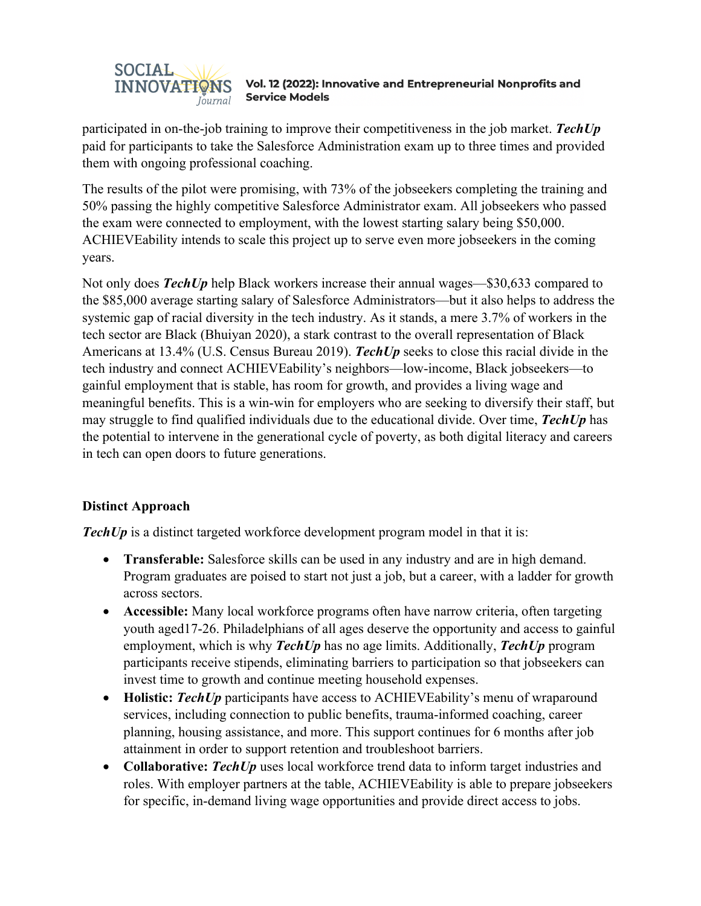

participated in on-the-job training to improve their competitiveness in the job market. *TechUp* paid for participants to take the Salesforce Administration exam up to three times and provided them with ongoing professional coaching.

The results of the pilot were promising, with 73% of the jobseekers completing the training and 50% passing the highly competitive Salesforce Administrator exam. All jobseekers who passed the exam were connected to employment, with the lowest starting salary being \$50,000. ACHIEVEability intends to scale this project up to serve even more jobseekers in the coming years.

Not only does *TechUp* help Black workers increase their annual wages—\$30,633 compared to the \$85,000 average starting salary of Salesforce Administrators—but it also helps to address the systemic gap of racial diversity in the tech industry. As it stands, a mere 3.7% of workers in the tech sector are Black (Bhuiyan 2020), a stark contrast to the overall representation of Black Americans at 13.4% (U.S. Census Bureau 2019). *TechUp* seeks to close this racial divide in the tech industry and connect ACHIEVEability's neighbors—low-income, Black jobseekers—to gainful employment that is stable, has room for growth, and provides a living wage and meaningful benefits. This is a win-win for employers who are seeking to diversify their staff, but may struggle to find qualified individuals due to the educational divide. Over time, *TechUp* has the potential to intervene in the generational cycle of poverty, as both digital literacy and careers in tech can open doors to future generations.

## **Distinct Approach**

**TechUp** is a distinct targeted workforce development program model in that it is:

- **Transferable:** Salesforce skills can be used in any industry and are in high demand. Program graduates are poised to start not just a job, but a career, with a ladder for growth across sectors.
- **Accessible:** Many local workforce programs often have narrow criteria, often targeting youth aged17-26. Philadelphians of all ages deserve the opportunity and access to gainful employment, which is why *TechUp* has no age limits. Additionally, *TechUp* program participants receive stipends, eliminating barriers to participation so that jobseekers can invest time to growth and continue meeting household expenses.
- **Holistic: TechUp** participants have access to ACHIEVEability's menu of wraparound services, including connection to public benefits, trauma-informed coaching, career planning, housing assistance, and more. This support continues for 6 months after job attainment in order to support retention and troubleshoot barriers.
- **Collaborative:** *TechUp* uses local workforce trend data to inform target industries and roles. With employer partners at the table, ACHIEVEability is able to prepare jobseekers for specific, in-demand living wage opportunities and provide direct access to jobs.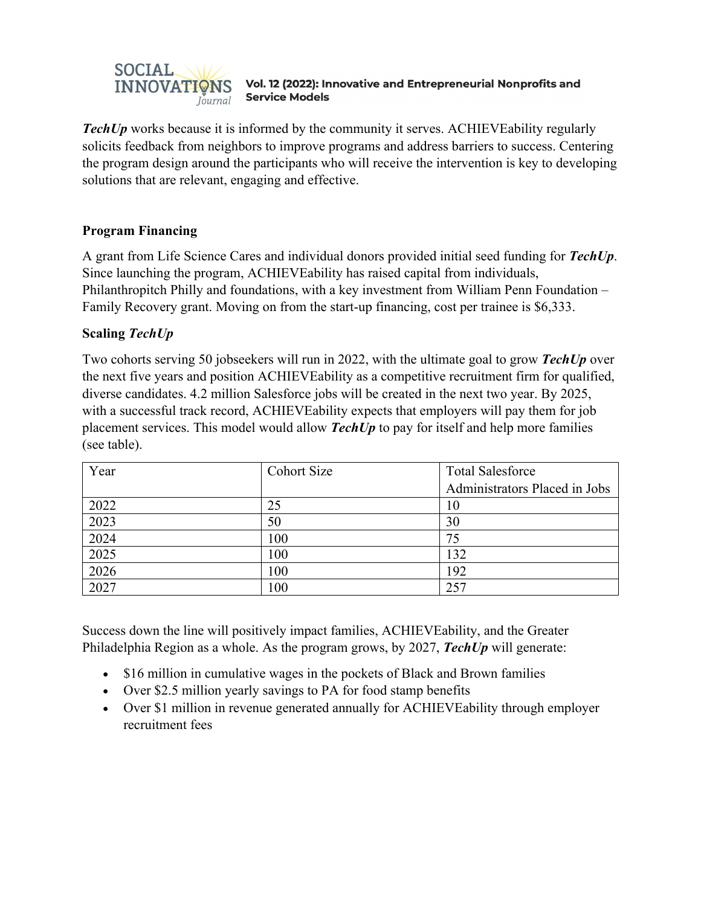

*TechUp* works because it is informed by the community it serves. ACHIEVEability regularly solicits feedback from neighbors to improve programs and address barriers to success. Centering the program design around the participants who will receive the intervention is key to developing solutions that are relevant, engaging and effective.

## **Program Financing**

A grant from Life Science Cares and individual donors provided initial seed funding for *TechUp*. Since launching the program, ACHIEVEability has raised capital from individuals, Philanthropitch Philly and foundations, with a key investment from William Penn Foundation – Family Recovery grant. Moving on from the start-up financing, cost per trainee is \$6,333.

## **Scaling** *TechUp*

Two cohorts serving 50 jobseekers will run in 2022, with the ultimate goal to grow *TechUp* over the next five years and position ACHIEVEability as a competitive recruitment firm for qualified, diverse candidates. 4.2 million Salesforce jobs will be created in the next two year. By 2025, with a successful track record, ACHIEVEability expects that employers will pay them for job placement services. This model would allow *TechUp* to pay for itself and help more families (see table).

| Year | <b>Cohort Size</b> | <b>Total Salesforce</b>       |
|------|--------------------|-------------------------------|
|      |                    | Administrators Placed in Jobs |
| 2022 | 25                 | 10                            |
| 2023 | 50                 | 30                            |
| 2024 | 100                | 75                            |
| 2025 | 100                | 132                           |
| 2026 | 100                | 192                           |
| 2027 | 100                | 257                           |

Success down the line will positively impact families, ACHIEVEability, and the Greater Philadelphia Region as a whole. As the program grows, by 2027, *TechUp* will generate:

- \$16 million in cumulative wages in the pockets of Black and Brown families
- Over \$2.5 million yearly savings to PA for food stamp benefits
- Over \$1 million in revenue generated annually for ACHIEVEability through employer recruitment fees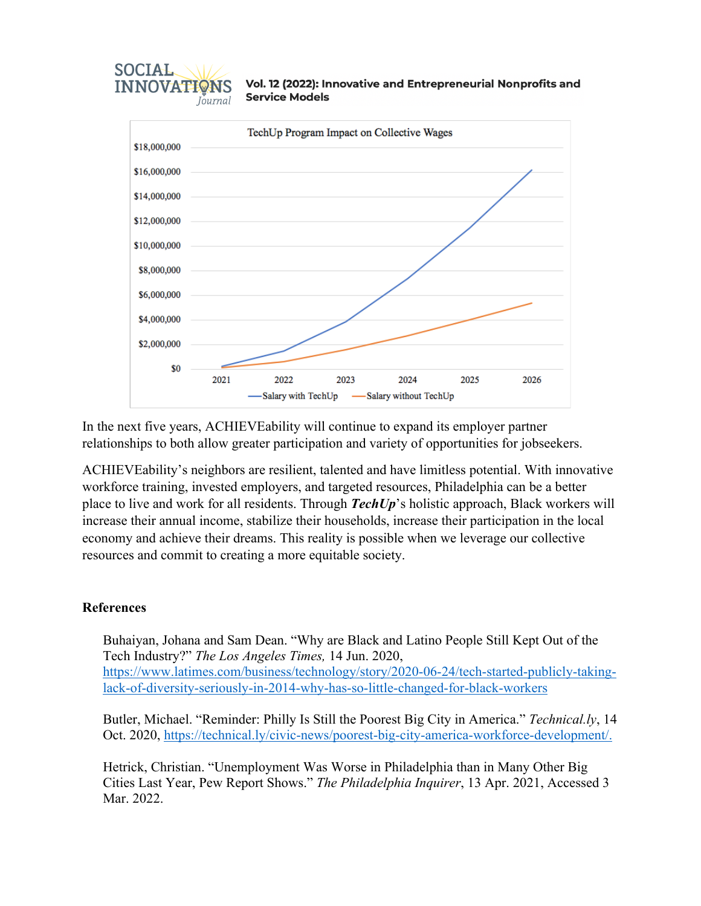

In the next five years, ACHIEVEability will continue to expand its employer partner relationships to both allow greater participation and variety of opportunities for jobseekers.

ACHIEVEability's neighbors are resilient, talented and have limitless potential. With innovative workforce training, invested employers, and targeted resources, Philadelphia can be a better place to live and work for all residents. Through *TechUp*'s holistic approach, Black workers will increase their annual income, stabilize their households, increase their participation in the local economy and achieve their dreams. This reality is possible when we leverage our collective resources and commit to creating a more equitable society.

### **References**

**SOCIAL** 

**INNOVATIONS** 

Journal

Buhaiyan, Johana and Sam Dean. "Why are Black and Latino People Still Kept Out of the Tech Industry?" *The Los Angeles Times,* 14 Jun. 2020, https://www.latimes.com/business/technology/story/2020-06-24/tech-started-publicly-takinglack-of-diversity-seriously-in-2014-why-has-so-little-changed-for-black-workers

Butler, Michael. "Reminder: Philly Is Still the Poorest Big City in America." *Technical.ly*, 14 Oct. 2020, https://technical.ly/civic-news/poorest-big-city-america-workforce-development/.

Hetrick, Christian. "Unemployment Was Worse in Philadelphia than in Many Other Big Cities Last Year, Pew Report Shows." *The Philadelphia Inquirer*, 13 Apr. 2021, Accessed 3 Mar. 2022.